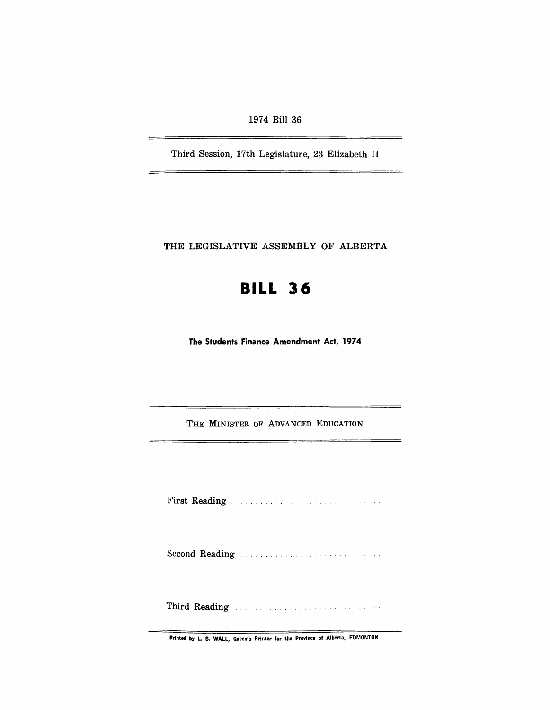1974 Bill 36

Third Session, 17th Legislature, 23 Elizabeth II

THE LEGISLATIVE ASSEMBLY OF ALBERTA

## **BILL 36**

**The Students Finance Amendment Act, 1974** 

THE MINISTER OF ADVANCED EDUCATION

First Reading The Manual Communication of the Reading

Second Reading Manual Communication of the Reading

Third Reading ... ............. .

Printed by L. S. WALL, Queen's Printer for the Province of Alberta, EDMONTON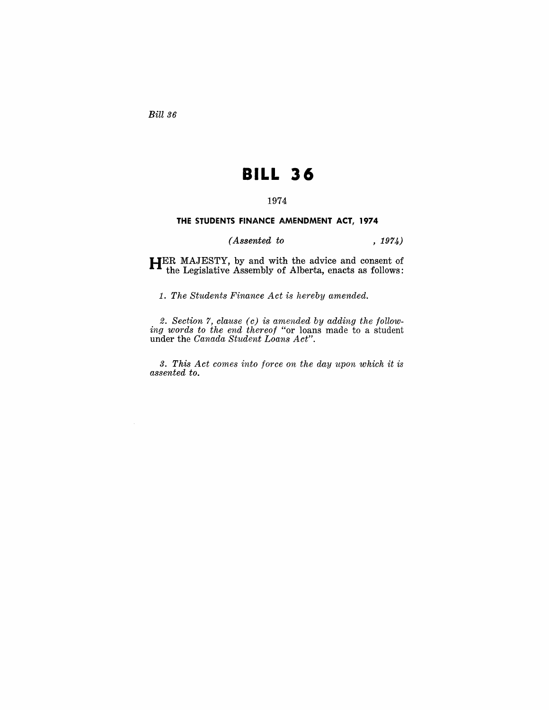Bill 36

## **BILL 36**

## 1974

## **THE STUDENTS FINANCE AMENDMENT ACT, 1974**

*(Assented to* , 1974)

**HER** MAJESTY, by and with the advice and consent of the Legislative Assembly of Alberta, enacts as follows:

1. *The Students Finance Act is hereby amended.* 

2. *Section* 7, *clause (c) is amended by adding the following words to the end thereof* "or loans made to a student under the *Canada Student Loans Act".* 

*3. This Act comes into force on the day upon which it is assented to.*